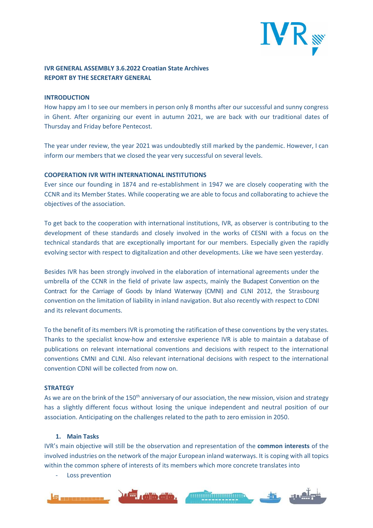

# **IVR GENERAL ASSEMBLY 3.6.2022 Croatian State Archives REPORT BY THE SECRETARY GENERAL**

#### **INTRODUCTION**

How happy am I to see our members in person only 8 months after our successful and sunny congress in Ghent. After organizing our event in autumn 2021, we are back with our traditional dates of Thursday and Friday before Pentecost.

The year under review, the year 2021 was undoubtedly still marked by the pandemic. However, I can inform our members that we closed the year very successful on several levels.

### **COOPERATION IVR WITH INTERNATIONAL INSTITUTIONS**

Ever since our founding in 1874 and re-establishment in 1947 we are closely cooperating with the CCNR and its Member States. While cooperating we are able to focus and collaborating to achieve the objectives of the association.

To get back to the cooperation with international institutions, IVR, as observer is contributing to the development of these standards and closely involved in the works of CESNI with a focus on the technical standards that are exceptionally important for our members. Especially given the rapidly evolving sector with respect to digitalization and other developments. Like we have seen yesterday.

Besides IVR has been strongly involved in the elaboration of international agreements under the umbrella of the CCNR in the field of private law aspects, mainly the Budapest Convention on the Contract for the Carriage of Goods by Inland Waterway (CMNI) and CLNI 2012, the Strasbourg convention on the limitation of liability in inland navigation. But also recently with respect to CDNI and its relevant documents.

To the benefit of its members IVR is promoting the ratification of these conventions by the very states. Thanks to the specialist know-how and extensive experience IVR is able to maintain a database of publications on relevant international conventions and decisions with respect to the international conventions CMNI and CLNI. Also relevant international decisions with respect to the international convention CDNI will be collected from now on.

## **STRATEGY**

As we are on the brink of the 150<sup>th</sup> anniversary of our association, the new mission, vision and strategy has a slightly different focus without losing the unique independent and neutral position of our association. Anticipating on the challenges related to the path to zero emission in 2050.

## **1. Main Tasks**

IVR's main objective will still be the observation and representation of the **common interests** of the involved industries on the network of the major European inland waterways. It is coping with all topics within the common sphere of interests of its members which more concrete translates into

Loss prevention

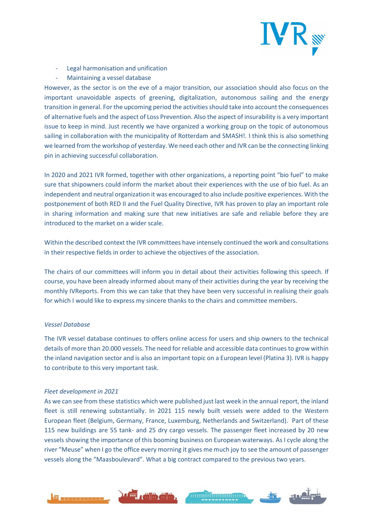

- Legal harmonisation and unification
- Maintaining a vessel database

However, as the sector is on the eve of a major transition, our association should also focus on the important unavoidable aspects of greening, digitalization, autonomous sailing and the energy transition in general. For the upcoming period the activities should take into account the consequences of alternative fuels and the aspect of Loss Prevention. Also the aspect of insurability is a very important issue to keep in mind. Just recently we have organized a working group on the topic of autonomous sailing in collaboration with the municipality of Rotterdam and SMASH!. I think this is also something we learned from the workshop of yesterday. We need each other and IVR can be the connecting linking pin in achieving successful collaboration.

In 2020 and 2021 IVR formed, together with other organizations, a reporting point "bio fuel" to make sure that shipowners could inform the market about their experiences with the use of bio fuel. As an independent and neutral organization it was encouraged to also include positive experiences. With the postponement of both RED II and the Fuel Quality Directive, IVR has proven to play an important role in sharing information and making sure that new initiatives are safe and reliable before they are introduced to the market on a wider scale.

Within the described context the IVR committees have intensely continued the work and consultations in their respective fields in order to achieve the objectives of the association.

The chairs of our committees will inform you in detail about their activities following this speech. If course, you have been already informed about many of their activities during the year by receiving the monthly IVReports. From this we can take that they have been very successful in realising their goals for which I would like to express my sincere thanks to the chairs and committee members.

## *Vessel Database*

The IVR vessel database continues to offers online access for users and ship owners to the technical details of more than 20.000 vessels. The need for reliable and accessible data continues to grow within the inland navigation sector and is also an important topic on a European level (Platina 3). IVR is happy to contribute to this very important task.

## *Fleet development in 2021*

As we can see from these statistics which were published just last week in the annual report, the inland fleet is still renewing substantially. In 2021 115 newly built vessels were added to the Western European fleet (Belgium, Germany, France, Luxemburg, Netherlands and Switzerland). Part of these 115 new buildings are 55 tank- and 25 dry cargo vessels. The passenger fleet increased by 20 new vessels showing the importance of this booming business on European waterways. As I cycle along the river "Meuse" when I go the office every morning it gives me much joy to see the amount of passenger vessels along the "Maasboulevard". What a big contract compared to the previous two years.

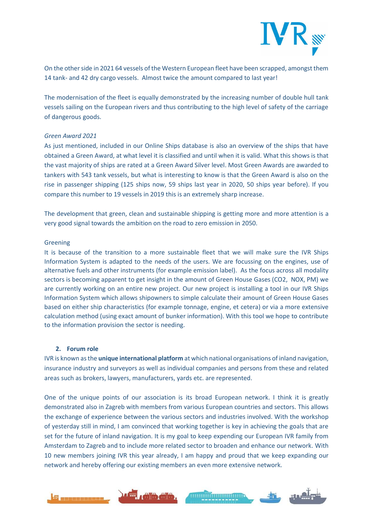

On the other side in 2021 64 vessels of the Western European fleet have been scrapped, amongst them 14 tank- and 42 dry cargo vessels. Almost twice the amount compared to last year!

The modernisation of the fleet is equally demonstrated by the increasing number of double hull tank vessels sailing on the European rivers and thus contributing to the high level of safety of the carriage of dangerous goods.

## *Green Award 2021*

As just mentioned, included in our Online Ships database is also an overview of the ships that have obtained a Green Award, at what level it is classified and until when it is valid. What this shows is that the vast majority of ships are rated at a Green Award Silver level. Most Green Awards are awarded to tankers with 543 tank vessels, but what is interesting to know is that the Green Award is also on the rise in passenger shipping (125 ships now, 59 ships last year in 2020, 50 ships year before). If you compare this number to 19 vessels in 2019 this is an extremely sharp increase.

The development that green, clean and sustainable shipping is getting more and more attention is a very good signal towards the ambition on the road to zero emission in 2050.

#### Greening

It is because of the transition to a more sustainable fleet that we will make sure the IVR Ships Information System is adapted to the needs of the users. We are focussing on the engines, use of alternative fuels and other instruments (for example emission label). As the focus across all modality sectors is becoming apparent to get insight in the amount of Green House Gases (CO2, NOX, PM) we are currently working on an entire new project. Our new project is installing a tool in our IVR Ships Information System which allows shipowners to simple calculate their amount of Green House Gases based on either ship characteristics (for example tonnage, engine, et cetera) or via a more extensive calculation method (using exact amount of bunker information). With this tool we hope to contribute to the information provision the sector is needing.

#### **2. Forum role**

IVR is known as the **unique international platform** at which national organisations of inland navigation, insurance industry and surveyors as well as individual companies and persons from these and related areas such as brokers, lawyers, manufacturers, yards etc. are represented.

One of the unique points of our association is its broad European network. I think it is greatly demonstrated also in Zagreb with members from various European countries and sectors. This allows the exchange of experience between the various sectors and industries involved. With the workshop of yesterday still in mind, I am convinced that working together is key in achieving the goals that are set for the future of inland navigation. It is my goal to keep expending our European IVR family from Amsterdam to Zagreb and to include more related sector to broaden and enhance our network. With 10 new members joining IVR this year already, I am happy and proud that we keep expanding our network and hereby offering our existing members an even more extensive network.